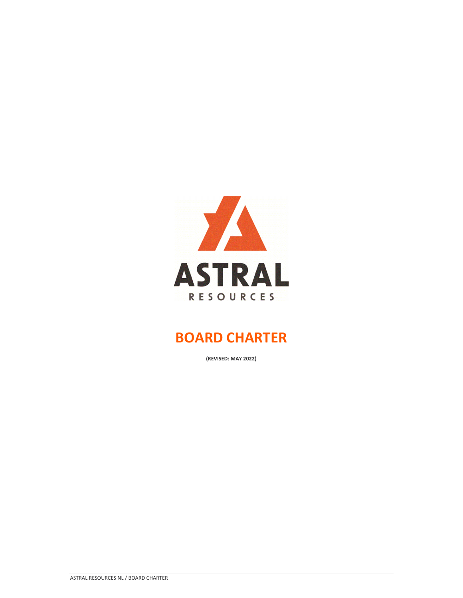

**(REVISED: MAY 2022)**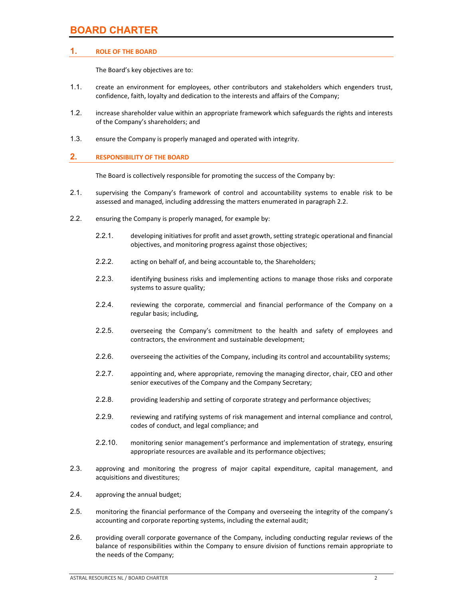## **1. ROLE OF THE BOARD**

The Board's key objectives are to:

- 1.1. create an environment for employees, other contributors and stakeholders which engenders trust, confidence, faith, loyalty and dedication to the interests and affairs of the Company;
- 1.2. increase shareholder value within an appropriate framework which safeguards the rights and interests of the Company's shareholders; and
- 1.3. ensure the Company is properly managed and operated with integrity.

### **2. RESPONSIBILITY OF THE BOARD**

The Board is collectively responsible for promoting the success of the Company by:

- 2.1. supervising the Company's framework of control and accountability systems to enable risk to be assessed and managed, including addressing the matters enumerated in paragraph 2.2.
- 2.2. ensuring the Company is properly managed, for example by:
	- 2.2.1. developing initiatives for profit and asset growth, setting strategic operational and financial objectives, and monitoring progress against those objectives;
	- 2.2.2. acting on behalf of, and being accountable to, the Shareholders;
	- 2.2.3. identifying business risks and implementing actions to manage those risks and corporate systems to assure quality;
	- 2.2.4. reviewing the corporate, commercial and financial performance of the Company on a regular basis; including,
	- 2.2.5. overseeing the Company's commitment to the health and safety of employees and contractors, the environment and sustainable development;
	- 2.2.6. overseeing the activities of the Company, including its control and accountability systems;
	- 2.2.7. appointing and, where appropriate, removing the managing director, chair, CEO and other senior executives of the Company and the Company Secretary;
	- 2.2.8. providing leadership and setting of corporate strategy and performance objectives;
	- 2.2.9. reviewing and ratifying systems of risk management and internal compliance and control, codes of conduct, and legal compliance; and
	- 2.2.10. monitoring senior management's performance and implementation of strategy, ensuring appropriate resources are available and its performance objectives;
- 2.3. approving and monitoring the progress of major capital expenditure, capital management, and acquisitions and divestitures;
- 2.4. approving the annual budget;
- 2.5. monitoring the financial performance of the Company and overseeing the integrity of the company's accounting and corporate reporting systems, including the external audit;
- 2.6. providing overall corporate governance of the Company, including conducting regular reviews of the balance of responsibilities within the Company to ensure division of functions remain appropriate to the needs of the Company;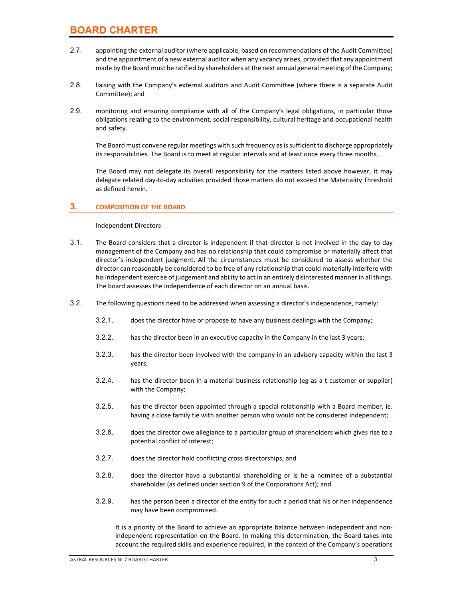- 2.7. appointing the external auditor (where applicable, based on recommendations of the Audit Committee) and the appointment of a new external auditor when any vacancy arises, provided that any appointment made by the Board must be ratified by shareholders at the next annual general meeting of the Company;
- 2.8. liaising with the Company's external auditors and Audit Committee (where there is a separate Audit Committee); and
- 2.9. monitoring and ensuring compliance with all of the Company's legal obligations, in particular those obligations relating to the environment, social responsibility, cultural heritage and occupational health and safety.

The Board must convene regular meetings with such frequency as is sufficient to discharge appropriately its responsibilities. The Board is to meet at regular intervals and at least once every three months.

The Board may not delegate its overall responsibility for the matters listed above however, it may delegate related day‐to‐day activities provided those matters do not exceed the Materiality Threshold as defined herein.

### **3. COMPOSITION OF THE BOARD**

Independent Directors

- 3.1. The Board considers that a director is independent if that director is not involved in the day to day management of the Company and has no relationship that could compromise or materially affect that director's independent judgment. All the circumstances must be considered to assess whether the director can reasonably be considered to be free of any relationship that could materially interfere with hisindependent exercise of judgement and ability to act in an entirely disinterested manner in all things. The board assesses the independence of each director on an annual basis.
- 3.2. The following questions need to be addressed when assessing a director's independence, namely:
	- 3.2.1. does the director have or propose to have any business dealings with the Company;
	- 3.2.2. has the director been in an executive capacity in the Company in the last 3 years;
	- 3.2.3. has the director been involved with the company in an advisory capacity within the last 3 years;
	- 3.2.4. has the director been in a material business relationship (eg as a t customer or supplier) with the Company;
	- 3.2.5. has the director been appointed through a special relationship with a Board member, ie. having a close family tie with another person who would not be considered independent;
	- 3.2.6. does the director owe allegiance to a particular group of shareholders which gives rise to a potential conflict of interest;
	- 3.2.7. does the director hold conflicting cross directorships; and
	- 3.2.8. does the director have a substantial shareholding or is he a nominee of a substantial shareholder (as defined under section 9 of the Corporations Act); and
	- 3.2.9. has the person been a director of the entity for such a period that his or her independence may have been compromised.

It is a priority of the Board to achieve an appropriate balance between independent and non‐ independent representation on the Board. In making this determination, the Board takes into account the required skills and experience required, in the context of the Company's operations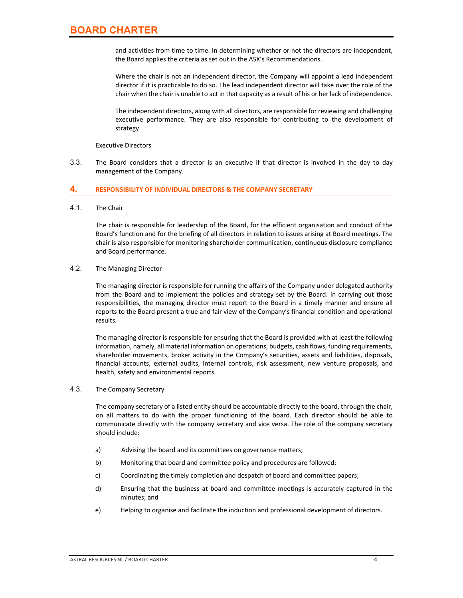and activities from time to time. In determining whether or not the directors are independent, the Board applies the criteria as set out in the ASX's Recommendations.

Where the chair is not an independent director, the Company will appoint a lead independent director if it is practicable to do so. The lead independent director will take over the role of the chair when the chair is unable to act in that capacity as a result of his or her lack of independence.

The independent directors, along with all directors, are responsible for reviewing and challenging executive performance. They are also responsible for contributing to the development of strategy.

Executive Directors

3.3. The Board considers that a director is an executive if that director is involved in the day to day management of the Company.

#### **4. RESPONSIBILITY OF INDIVIDUAL DIRECTORS & THE COMPANY SECRETARY**

4.1. The Chair

The chair is responsible for leadership of the Board, for the efficient organisation and conduct of the Board's function and for the briefing of all directors in relation to issues arising at Board meetings. The chair is also responsible for monitoring shareholder communication, continuous disclosure compliance and Board performance.

#### 4.2. The Managing Director

The managing director is responsible for running the affairs of the Company under delegated authority from the Board and to implement the policies and strategy set by the Board. In carrying out those responsibilities, the managing director must report to the Board in a timely manner and ensure all reports to the Board present a true and fair view of the Company's financial condition and operational results.

The managing director is responsible for ensuring that the Board is provided with at least the following information, namely, all material information on operations, budgets, cash flows, funding requirements, shareholder movements, broker activity in the Company's securities, assets and liabilities, disposals, financial accounts, external audits, internal controls, risk assessment, new venture proposals, and health, safety and environmental reports.

#### 4.3. The Company Secretary

The company secretary of a listed entity should be accountable directly to the board, through the chair, on all matters to do with the proper functioning of the board. Each director should be able to communicate directly with the company secretary and vice versa. The role of the company secretary should include:

- a) Advising the board and its committees on governance matters;
- b) Monitoring that board and committee policy and procedures are followed;
- c) Coordinating the timely completion and despatch of board and committee papers;
- d) Ensuring that the business at board and committee meetings is accurately captured in the minutes; and
- e) Helping to organise and facilitate the induction and professional development of directors.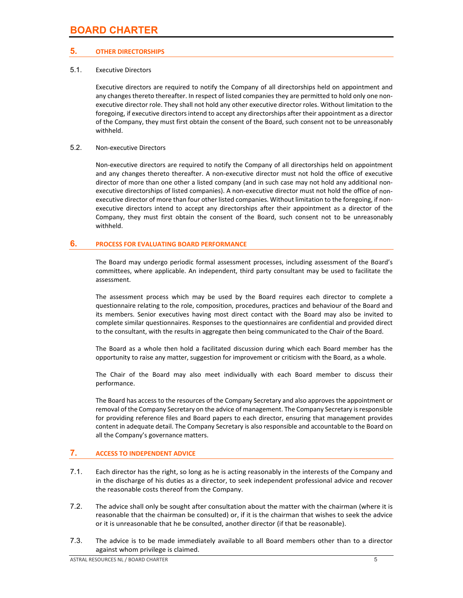# **5. OTHER DIRECTORSHIPS**

## 5.1. Executive Directors

Executive directors are required to notify the Company of all directorships held on appointment and any changes thereto thereafter. In respect of listed companies they are permitted to hold only one nonexecutive director role. They shall not hold any other executive director roles. Without limitation to the foregoing, if executive directors intend to accept any directorships after their appointment as a director of the Company, they must first obtain the consent of the Board, such consent not to be unreasonably withheld.

## 5.2. Non‐executive Directors

Non‐executive directors are required to notify the Company of all directorships held on appointment and any changes thereto thereafter. A non-executive director must not hold the office of executive director of more than one other a listed company (and in such case may not hold any additional non‐ executive directorships of listed companies). A non-executive director must not hold the office of nonexecutive director of more than four other listed companies. Without limitation to the foregoing, if nonexecutive directors intend to accept any directorships after their appointment as a director of the Company, they must first obtain the consent of the Board, such consent not to be unreasonably withheld.

# **6. PROCESS FOR EVALUATING BOARD PERFORMANCE**

The Board may undergo periodic formal assessment processes, including assessment of the Board's committees, where applicable. An independent, third party consultant may be used to facilitate the assessment.

The assessment process which may be used by the Board requires each director to complete a questionnaire relating to the role, composition, procedures, practices and behaviour of the Board and its members. Senior executives having most direct contact with the Board may also be invited to complete similar questionnaires. Responses to the questionnaires are confidential and provided direct to the consultant, with the results in aggregate then being communicated to the Chair of the Board.

The Board as a whole then hold a facilitated discussion during which each Board member has the opportunity to raise any matter, suggestion for improvement or criticism with the Board, as a whole.

The Chair of the Board may also meet individually with each Board member to discuss their performance.

The Board has access to the resources of the Company Secretary and also approves the appointment or removal of the Company Secretary on the advice of management. The Company Secretary is responsible for providing reference files and Board papers to each director, ensuring that management provides content in adequate detail. The Company Secretary is also responsible and accountable to the Board on all the Company's governance matters.

# **7. ACCESS TO INDEPENDENT ADVICE**

- 7.1. Each director has the right, so long as he is acting reasonably in the interests of the Company and in the discharge of his duties as a director, to seek independent professional advice and recover the reasonable costs thereof from the Company.
- 7.2. The advice shall only be sought after consultation about the matter with the chairman (where it is reasonable that the chairman be consulted) or, if it is the chairman that wishes to seek the advice or it is unreasonable that he be consulted, another director (if that be reasonable).
- 7.3. The advice is to be made immediately available to all Board members other than to a director against whom privilege is claimed.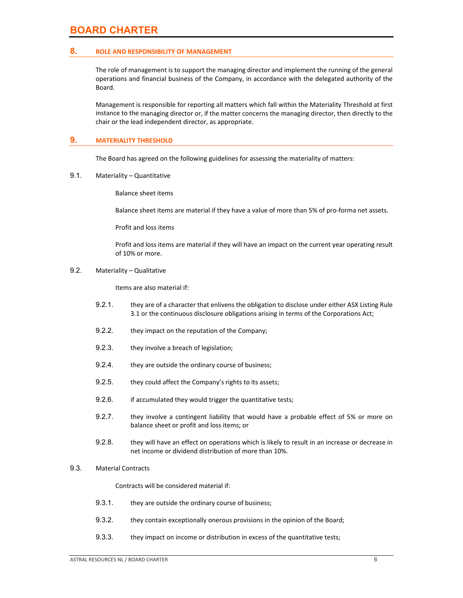#### **8. ROLE AND RESPONSIBILITY OF MANAGEMENT**

The role of management is to support the managing director and implement the running of the general operations and financial business of the Company, in accordance with the delegated authority of the Board.

Management is responsible for reporting all matters which fall within the Materiality Threshold at first instance to the managing director or, if the matter concerns the managing director, then directly to the chair or the lead independent director, as appropriate.

### **9. MATERIALITY THRESHOLD**

The Board has agreed on the following guidelines for assessing the materiality of matters:

9.1. Materiality – Quantitative

Balance sheet items

Balance sheet items are material if they have a value of more than 5% of pro‐forma net assets.

Profit and loss items

Profit and loss items are material if they will have an impact on the current year operating result of 10% or more.

#### 9.2. Materiality – Qualitative

Items are also material if:

- 9.2.1. they are of a character that enlivens the obligation to disclose under either ASX Listing Rule 3.1 or the continuous disclosure obligations arising in terms of the Corporations Act;
- 9.2.2. they impact on the reputation of the Company;
- 9.2.3. they involve a breach of legislation;
- 9.2.4. they are outside the ordinary course of business;
- 9.2.5. they could affect the Company's rights to its assets;
- 9.2.6. if accumulated they would trigger the quantitative tests;
- 9.2.7. they involve a contingent liability that would have a probable effect of 5% or more on balance sheet or profit and loss items; or
- 9.2.8. they will have an effect on operations which is likely to result in an increase or decrease in net income or dividend distribution of more than 10%.

#### 9.3. Material Contracts

Contracts will be considered material if:

- 9.3.1. they are outside the ordinary course of business;
- 9.3.2. they contain exceptionally onerous provisions in the opinion of the Board;
- 9.3.3. they impact on income or distribution in excess of the quantitative tests;